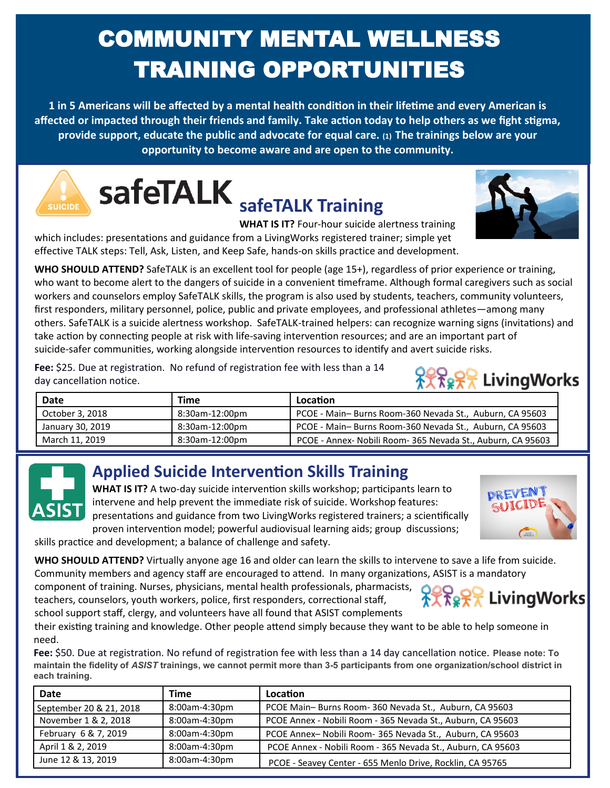# COMMUNITY MENTAL WELLNESS TRAINING OPPORTUNITIES

**1 in 5 Americans will be affected by a mental health condition in their lifetime and every American is affected or impacted through their friends and family. Take action today to help others as we fight stigma, provide support, educate the public and advocate for equal care. (1) The trainings below are your opportunity to become aware and are open to the community.** 

**safeTALK** safeTALK Training

**WHAT IS IT?** Four-hour suicide alertness training

which includes: presentations and guidance from a LivingWorks registered trainer; simple yet effective TALK steps: Tell, Ask, Listen, and Keep Safe, hands-on skills practice and development.

**WHO SHOULD ATTEND?** SafeTALK is an excellent tool for people (age 15+), regardless of prior experience or training, who want to become alert to the dangers of suicide in a convenient timeframe. Although formal caregivers such as social workers and counselors employ SafeTALK skills, the program is also used by students, teachers, community volunteers, first responders, military personnel, police, public and private employees, and professional athletes—among many others. SafeTALK is a suicide alertness workshop. SafeTALK-trained helpers: can recognize warning signs (invitations) and take action by connecting people at risk with life-saving intervention resources; and are an important part of suicide-safer communities, working alongside intervention resources to identify and avert suicide risks.

**Fee:** \$25. Due at registration. No refund of registration fee with less than a 14 day cancellation notice.

| Date             | Time           | Location                                                    |
|------------------|----------------|-------------------------------------------------------------|
| October 3, 2018  | 8:30am-12:00pm | PCOE - Main-Burns Room-360 Nevada St., Auburn, CA 95603     |
| January 30, 2019 | 8:30am-12:00pm | PCOE - Main-Burns Room-360 Nevada St., Auburn, CA 95603     |
| March 11, 2019   | 8:30am-12:00pm | PCOE - Annex- Nobili Room- 365 Nevada St., Auburn, CA 95603 |

## **Applied Suicide Intervention Skills Training**

**WHAT IS IT?** A two-day suicide intervention skills workshop; participants learn to intervene and help prevent the immediate risk of suicide. Workshop features: presentations and guidance from two LivingWorks registered trainers; a scientifically proven intervention model; powerful audiovisual learning aids; group discussions;

skills practice and development; a balance of challenge and safety.

**WHO SHOULD ATTEND?** Virtually anyone age 16 and older can learn the skills to intervene to save a life from suicide. Community members and agency staff are encouraged to attend. In many organizations, ASIST is a mandatory

component of training. Nurses, physicians, mental health professionals, pharmacists, teachers, counselors, youth workers, police, first responders, correctional staff, school support staff, clergy, and volunteers have all found that ASIST complements

their existing training and knowledge. Other people attend simply because they want to be able to help someone in need.

**Fee:** \$50. Due at registration. No refund of registration fee with less than a 14 day cancellation notice. **Please note: To maintain the fidelity of** *ASIST* **trainings, we cannot permit more than 3-5 participants from one organization/school district in each training.**

| Date                    | Time          | Location                                                    |
|-------------------------|---------------|-------------------------------------------------------------|
| September 20 & 21, 2018 | 8:00am-4:30pm | PCOE Main-Burns Room-360 Nevada St., Auburn, CA 95603       |
| November 1 & 2, 2018    | 8:00am-4:30pm | PCOE Annex - Nobili Room - 365 Nevada St., Auburn, CA 95603 |
| February 6 & 7, 2019    | 8:00am-4:30pm | PCOE Annex- Nobili Room- 365 Nevada St., Auburn, CA 95603   |
| April 1 & 2, 2019       | 8:00am-4:30pm | PCOE Annex - Nobili Room - 365 Nevada St., Auburn, CA 95603 |
| June 12 & 13, 2019      | 8:00am-4:30pm | PCOE - Seavey Center - 655 Menlo Drive, Rocklin, CA 95765   |



଼ି<del>୪</del>ୁତ୍<sup>କ</sup> LivingWorks